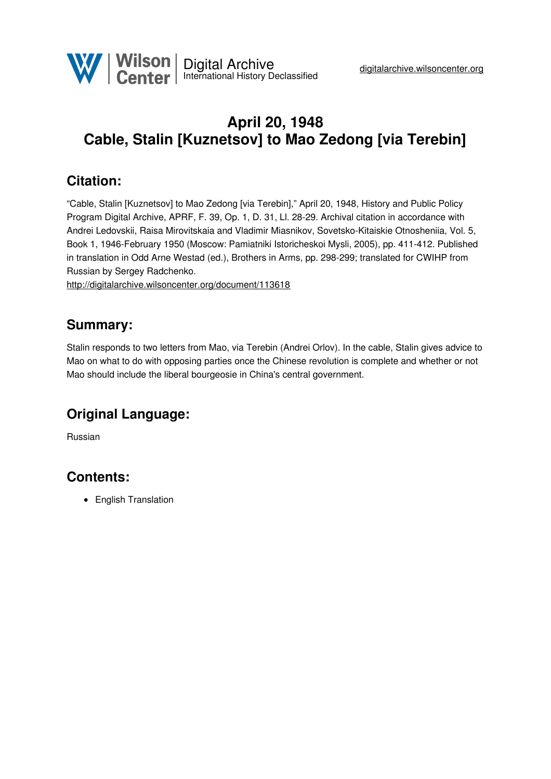# **April 20, 1948 Cable, Stalin [Kuznetsov] to Mao Zedong [via Terebin]**

### **Citation:**

"Cable, Stalin [Kuznetsov] to Mao Zedong [via Terebin]," April 20, 1948, History and Public Policy Program Digital Archive, APRF, F. 39, Op. 1, D. 31, Ll. 28-29. Archival citation in accordance with Andrei Ledovskii, Raisa Mirovitskaia and Vladimir Miasnikov, Sovetsko-Kitaiskie Otnosheniia, Vol. 5, Book 1, 1946-February 1950 (Moscow: Pamiatniki Istoricheskoi Mysli, 2005), pp. 411-412. Published in translation in Odd Arne Westad (ed.), Brothers in Arms, pp. 298-299; translated for CWIHP from Russian by Sergey Radchenko.

<http://digitalarchive.wilsoncenter.org/document/113618>

#### **Summary:**

Stalin responds to two letters from Mao, via Terebin (Andrei Orlov). In the cable, Stalin gives advice to Mao on what to do with opposing parties once the Chinese revolution is complete and whether or not Mao should include the liberal bourgeosie in China's central government.

## **Original Language:**

Russian

## **Contents:**

• English Translation